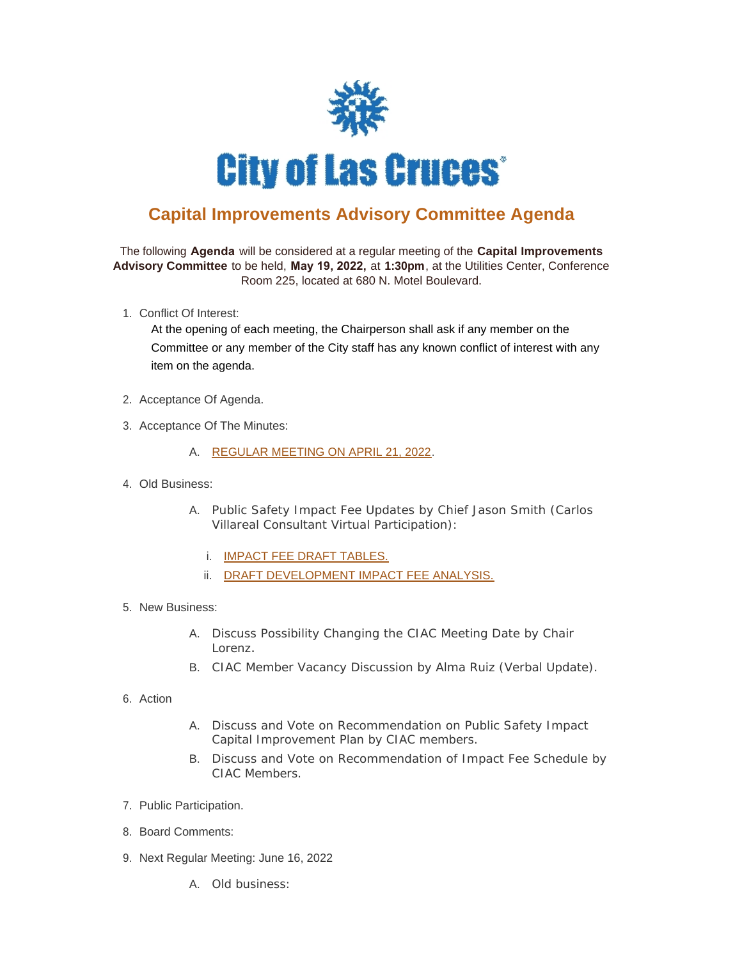

## **Capital Improvements Advisory Committee Agenda**

The following **Agenda** will be considered at a regular meeting of the **Capital Improvements Advisory Committee** to be held, **May 19, 2022,** at **1:30pm**, at the Utilities Center, Conference Room 225, located at 680 N. Motel Boulevard.

1. Conflict Of Interest:

At the opening of each meeting, the Chairperson shall ask if any member on the Committee or any member of the City staff has any known conflict of interest with any item on the agenda.

- 2. Acceptance Of Agenda.
- 3. Acceptance Of The Minutes:
	- A. [REGULAR MEETING ON APRIL 21, 2022](https://publicrecords.las-cruces.org/WebLink/DocView.aspx?id=2210602&dbid=0&repo=Live).
- Old Business: 4.
	- A. Public Safety Impact Fee Updates by Chief Jason Smith (Carlos Villareal Consultant Virtual Participation):
		- i. [IMPACT FEE DRAFT TABLES.](https://publicrecords.las-cruces.org/WebLink/DocView.aspx?id=2209949&dbid=0&repo=Live)
		- ii. [DRAFT DEVELOPMENT IMPACT FEE ANALYSIS.](https://publicrecords.las-cruces.org/WebLink/DocView.aspx?id=2209886&dbid=0&repo=Live)
- 5. New Business:
	- A. Discuss Possibility Changing the CIAC Meeting Date by Chair Lorenz.
	- B. CIAC Member Vacancy Discussion by Alma Ruiz (Verbal Update).
- 6. Action
- A. Discuss and Vote on Recommendation on Public Safety Impact Capital Improvement Plan by CIAC members.
- B. Discuss and Vote on Recommendation of Impact Fee Schedule by CIAC Members.
- 7. Public Participation.
- 8. Board Comments:
- 9. Next Regular Meeting: June 16, 2022
	- A. Old business: